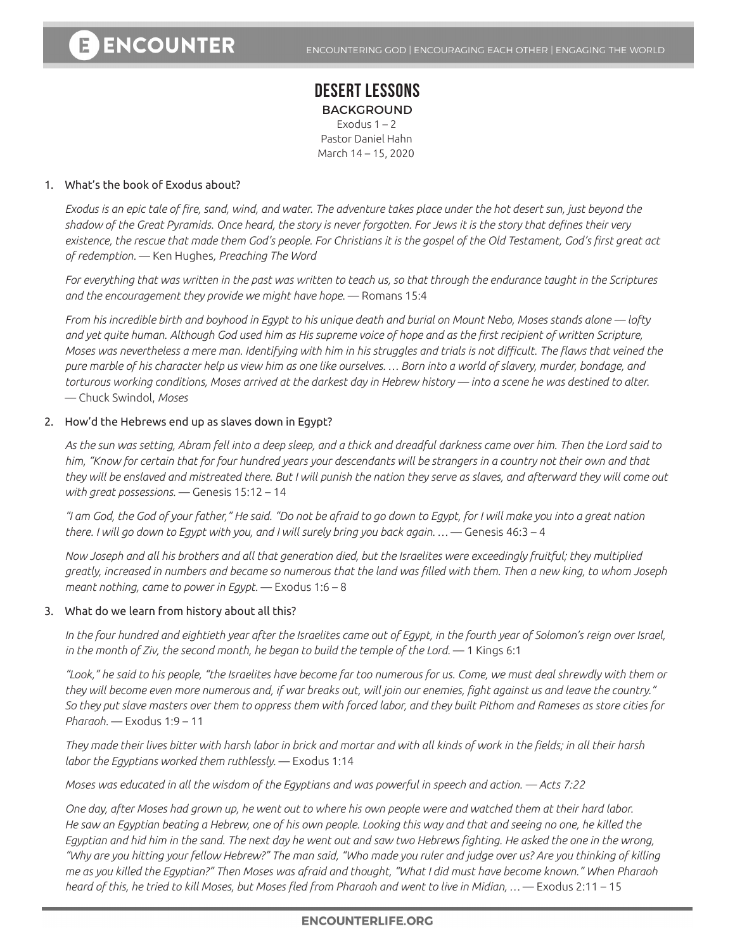## **DESERT LESSONS BACKGROUND** Exodus  $1 - 2$ Pastor Daniel Hahn March 14 – 15, 2020

#### 1. What's the book of Exodus about?

*Exodus is an epic tale of fire, sand, wind, and water. The adventure takes place under the hot desert sun, just beyond the shadow of the Great Pyramids. Once heard, the story is never forgotten. For Jews it is the story that defines their very existence, the rescue that made them God's people. For Christians it is the gospel of the Old Testament, God's first great act of redemption.* — Ken Hughes*, Preaching The Word*

*For everything that was written in the past was written to teach us, so that through the endurance taught in the Scriptures and the encouragement they provide we might have hope.* — Romans 15:4

*From his incredible birth and boyhood in Egypt to his unique death and burial on Mount Nebo, Moses stands alone — lofty and yet quite human. Although God used him as His supreme voice of hope and as the first recipient of written Scripture, Moses was nevertheless a mere man. Identifying with him in his struggles and trials is not difficult. The flaws that veined the pure marble of his character help us view him as one like ourselves. … Born into a world of slavery, murder, bondage, and torturous working conditions, Moses arrived at the darkest day in Hebrew history — into a scene he was destined to alter.*  — Chuck Swindol, *Moses*

#### 2. How'd the Hebrews end up as slaves down in Egypt?

*As the sun was setting, Abram fell into a deep sleep, and a thick and dreadful darkness came over him. Then the Lord said to him, "Know for certain that for four hundred years your descendants will be strangers in a country not their own and that they will be enslaved and mistreated there. But I will punish the nation they serve as slaves, and afterward they will come out with great possessions.* — Genesis 15:12 – 14

*"I am God, the God of your father," He said. "Do not be afraid to go down to Egypt, for I will make you into a great nation there. I will go down to Egypt with you, and I will surely bring you back again. …* — Genesis 46:3 – 4

*Now Joseph and all his brothers and all that generation died, but the Israelites were exceedingly fruitful; they multiplied greatly, increased in numbers and became so numerous that the land was filled with them. Then a new king, to whom Joseph meant nothing, came to power in Egypt.* — Exodus 1:6 – 8

#### 3. What do we learn from history about all this?

*In the four hundred and eightieth year after the Israelites came out of Egypt, in the fourth year of Solomon's reign over Israel,*  in the month of Ziv, the second month, he began to build the temple of the Lord. — 1 Kings 6:1

*"Look," he said to his people, "the Israelites have become far too numerous for us. Come, we must deal shrewdly with them or they will become even more numerous and, if war breaks out, will join our enemies, fight against us and leave the country." So they put slave masters over them to oppress them with forced labor, and they built Pithom and Rameses as store cities for Pharaoh.* — Exodus 1:9 – 11

*They made their lives bitter with harsh labor in brick and mortar and with all kinds of work in the fields; in all their harsh labor the Egyptians worked them ruthlessly.* — Exodus 1:14

*Moses was educated in all the wisdom of the Egyptians and was powerful in speech and action. — Acts 7:22*

*One day, after Moses had grown up, he went out to where his own people were and watched them at their hard labor. He saw an Egyptian beating a Hebrew, one of his own people. Looking this way and that and seeing no one, he killed the Egyptian and hid him in the sand. The next day he went out and saw two Hebrews fighting. He asked the one in the wrong, "Why are you hitting your fellow Hebrew?" The man said, "Who made you ruler and judge over us? Are you thinking of killing me as you killed the Egyptian?" Then Moses was afraid and thought, "What I did must have become known." When Pharaoh heard of this, he tried to kill Moses, but Moses fled from Pharaoh and went to live in Midian, …* — Exodus 2:11 – 15

### **ENCOUNTERLIFE.ORG**